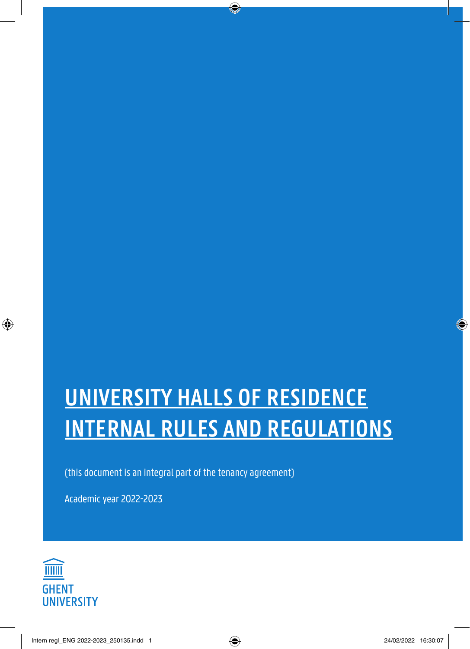# **UNIVERSITY HALLS OF RESIDENCE INTERNAL RULES AND REGULATIONS**

(this document is an integral part of the tenancy agreement)

Academic year 2022-2023

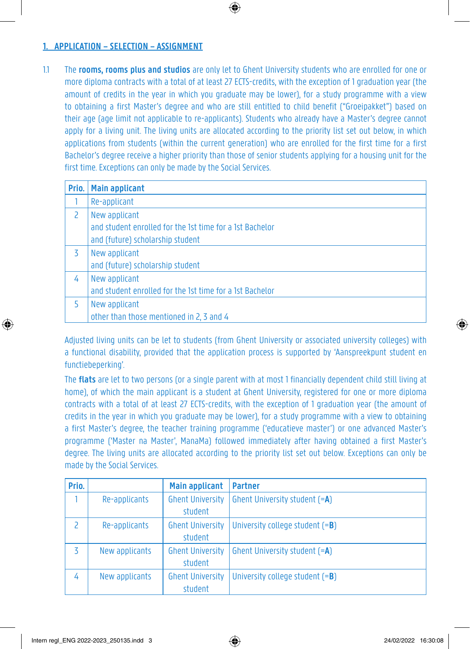# **1. APPLICATION – SELECTION – ASSIGNMENT**

1.1 The **rooms, rooms plus and studios** are only let to Ghent University students who are enrolled for one or more diploma contracts with a total of at least 27 ECTS-credits, with the exception of 1 graduation year (the amount of credits in the year in which you graduate may be lower), for a study programme with a view to obtaining a first Master's degree and who are still entitled to child benefit ("Groeipakket") based on their age (age limit not applicable to re-applicants). Students who already have a Master's degree cannot apply for a living unit. The living units are allocated according to the priority list set out below, in which applications from students (within the current generation) who are enrolled for the first time for a first Bachelor's degree receive a higher priority than those of senior students applying for a housing unit for the first time. Exceptions can only be made by the Social Services.

| Prio.         | Main applicant                                           |
|---------------|----------------------------------------------------------|
|               | Re-applicant                                             |
| $\mathcal{P}$ | New applicant                                            |
|               | and student enrolled for the 1st time for a 1st Bachelor |
|               | and (future) scholarship student                         |
| 3             | New applicant                                            |
|               | and (future) scholarship student                         |
| 4             | New applicant                                            |
|               | and student enrolled for the 1st time for a 1st Bachelor |
|               | New applicant                                            |
|               | other than those mentioned in 2, 3 and 4                 |

Adjusted living units can be let to students (from Ghent University or associated university colleges) with a functional disability, provided that the application process is supported by 'Aanspreekpunt student en functiebeperking'.

The **flats** are let to two persons (or a single parent with at most 1 financially dependent child still living at home), of which the main applicant is a student at Ghent University, registered for one or more diploma contracts with a total of at least 27 ECTS-credits, with the exception of 1 graduation year (the amount of credits in the year in which you graduate may be lower), for a study programme with a view to obtaining a first Master's degree, the teacher training programme ('educatieve master') or one advanced Master's programme ('Master na Master', ManaMa) followed immediately after having obtained a first Master's degree. The living units are allocated according to the priority list set out below. Exceptions can only be made by the Social Services.

| Prio. |                | <b>Main applicant</b>              | <b>Partner</b>                    |
|-------|----------------|------------------------------------|-----------------------------------|
|       | Re-applicants  | <b>Ghent University</b><br>student | Ghent University student (=A)     |
| 2     | Re-applicants  | <b>Ghent University</b><br>student | University college student $(=B)$ |
| 3     | New applicants | <b>Ghent University</b><br>student | Ghent University student (=A)     |
| 4     | New applicants | <b>Ghent University</b><br>student | University college student $(=B)$ |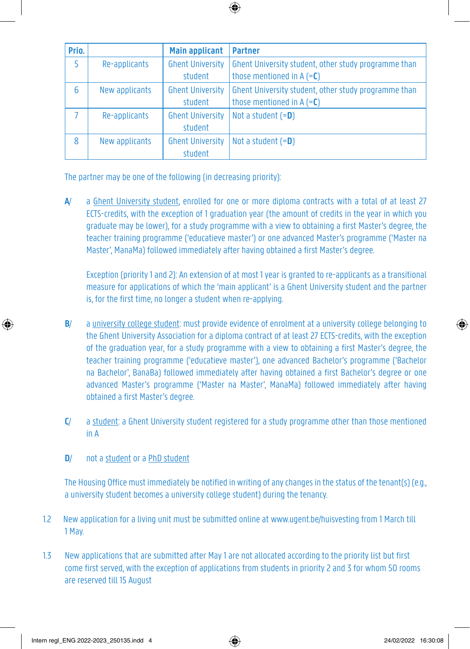| Prio. |                | <b>Main applicant</b>   | <b>Partner</b>                                       |
|-------|----------------|-------------------------|------------------------------------------------------|
| 5     | Re-applicants  | <b>Ghent University</b> | Ghent University student, other study programme than |
|       |                | student                 | those mentioned in $A (=C)$                          |
| 6     | New applicants | <b>Ghent University</b> | Ghent University student, other study programme than |
|       |                | student                 | those mentioned in $A (=C)$                          |
|       | Re-applicants  | <b>Ghent University</b> | Not a student $(=D)$                                 |
|       |                | student                 |                                                      |
| 8     | New applicants | <b>Ghent University</b> | Not a student $(=D)$                                 |
|       |                | student                 |                                                      |

The partner may be one of the following (in decreasing priority):

**A**/ a Ghent University student, enrolled for one or more diploma contracts with a total of at least 27 ECTS-credits, with the exception of 1 graduation year (the amount of credits in the year in which you graduate may be lower), for a study programme with a view to obtaining a first Master's degree, the teacher training programme ('educatieve master') or one advanced Master's programme ('Master na Master', ManaMa) followed immediately after having obtained a first Master's degree.

Exception (priority 1 and 2): An extension of at most 1 year is granted to re-applicants as a transitional measure for applications of which the 'main applicant' is a Ghent University student and the partner is, for the first time, no longer a student when re-applying.

- **B**/ a university college student: must provide evidence of enrolment at a university college belonging to the Ghent University Association for a diploma contract of at least 27 ECTS-credits, with the exception of the graduation year, for a study programme with a view to obtaining a first Master's degree, the teacher training programme ('educatieve master'), one advanced Bachelor's programme ('Bachelor na Bachelor', BanaBa) followed immediately after having obtained a first Bachelor's degree or one advanced Master's programme ('Master na Master', ManaMa) followed immediately after having obtained a first Master's degree.
- **C**/ a student: a Ghent University student registered for a study programme other than those mentioned in A
- **D**/ not a student or a PhD student

The Housing Office must immediately be notified in writing of any changes in the status of the tenant(s) (e.g., a university student becomes a university college student) during the tenancy.

- 1.2 New application for a living unit must be submitted online at www.ugent.be/huisvesting from 1 March till 1 May.
- 1.3 New applications that are submitted after May 1 are not allocated according to the priority list but first come first served, with the exception of applications from students in priority 2 and 3 for whom 50 rooms are reserved till 15 August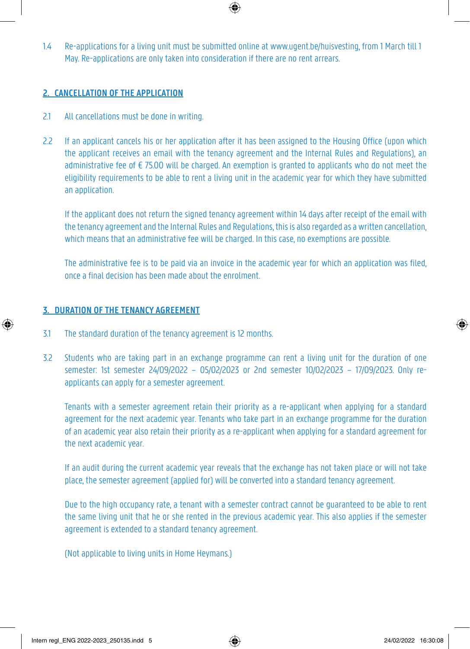1.4 Re-applications for a living unit must be submitted online at www.ugent.be/huisvesting, from 1 March till 1 May. Re-applications are only taken into consideration if there are no rent arrears.

# **2. CANCELLATION OF THE APPLICATION**

- 2.1 All cancellations must be done in writing.
- 2.2 If an applicant cancels his or her application after it has been assigned to the Housing Office (upon which the applicant receives an email with the tenancy agreement and the Internal Rules and Regulations), an administrative fee of € 75.00 will be charged. An exemption is granted to applicants who do not meet the eligibility requirements to be able to rent a living unit in the academic year for which they have submitted an application.

If the applicant does not return the signed tenancy agreement within 14 days after receipt of the email with the tenancy agreement and the Internal Rules and Regulations, this is also regarded as a written cancellation, which means that an administrative fee will be charged. In this case, no exemptions are possible.

The administrative fee is to be paid via an invoice in the academic year for which an application was filed, once a final decision has been made about the enrolment.

# **3. DURATION OF THE TENANCY AGREEMENT**

- 3.1 The standard duration of the tenancy agreement is 12 months.
- 3.2 Students who are taking part in an exchange programme can rent a living unit for the duration of one semester: 1st semester 24/09/2022 – 05/02/2023 or 2nd semester 10/02/2023 – 17/09/2023. Only reapplicants can apply for a semester agreement.

Tenants with a semester agreement retain their priority as a re-applicant when applying for a standard agreement for the next academic year. Tenants who take part in an exchange programme for the duration of an academic year also retain their priority as a re-applicant when applying for a standard agreement for the next academic year.

If an audit during the current academic year reveals that the exchange has not taken place or will not take place, the semester agreement (applied for) will be converted into a standard tenancy agreement.

Due to the high occupancy rate, a tenant with a semester contract cannot be guaranteed to be able to rent the same living unit that he or she rented in the previous academic year. This also applies if the semester agreement is extended to a standard tenancy agreement.

(Not applicable to living units in Home Heymans.)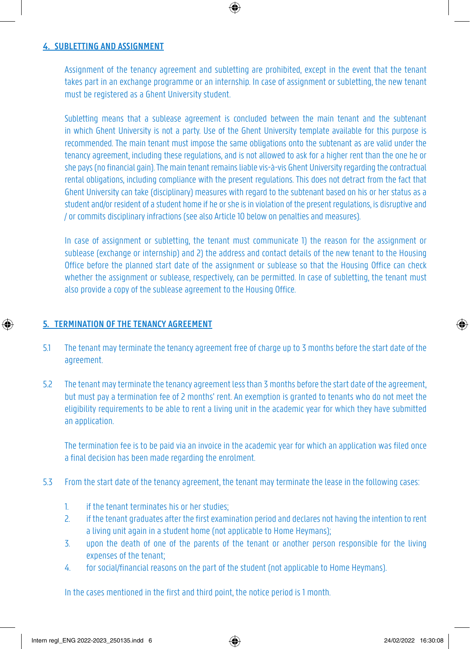#### **4. SUBLETTING AND ASSIGNMENT**

Assignment of the tenancy agreement and subletting are prohibited, except in the event that the tenant takes part in an exchange programme or an internship. In case of assignment or subletting, the new tenant must be registered as a Ghent University student.

Subletting means that a sublease agreement is concluded between the main tenant and the subtenant in which Ghent University is not a party. Use of the Ghent University template available for this purpose is recommended. The main tenant must impose the same obligations onto the subtenant as are valid under the tenancy agreement, including these regulations, and is not allowed to ask for a higher rent than the one he or she pays (no financial gain). The main tenant remains liable vis-à-vis Ghent University regarding the contractual rental obligations, including compliance with the present regulations. This does not detract from the fact that Ghent University can take (disciplinary) measures with regard to the subtenant based on his or her status as a student and/or resident of a student home if he or she is in violation of the present regulations, is disruptive and / or commits disciplinary infractions (see also Article 10 below on penalties and measures).

In case of assignment or subletting, the tenant must communicate 1) the reason for the assignment or sublease (exchange or internship) and 2) the address and contact details of the new tenant to the Housing Office before the planned start date of the assignment or sublease so that the Housing Office can check whether the assignment or sublease, respectively, can be permitted. In case of subletting, the tenant must also provide a copy of the sublease agreement to the Housing Office.

# **5. TERMINATION OF THE TENANCY AGREEMENT**

- 5.1 The tenant may terminate the tenancy agreement free of charge up to 3 months before the start date of the agreement.
- 5.2 The tenant may terminate the tenancy agreement less than 3 months before the start date of the agreement, but must pay a termination fee of 2 months' rent. An exemption is granted to tenants who do not meet the eligibility requirements to be able to rent a living unit in the academic year for which they have submitted an application.

The termination fee is to be paid via an invoice in the academic year for which an application was filed once a final decision has been made regarding the enrolment.

- 5.3 From the start date of the tenancy agreement, the tenant may terminate the lease in the following cases:
	- 1. if the tenant terminates his or her studies;
	- 2. if the tenant graduates after the first examination period and declares not having the intention to rent a living unit again in a student home (not applicable to Home Heymans);
	- 3. upon the death of one of the parents of the tenant or another person responsible for the living expenses of the tenant;
	- 4. for social/financial reasons on the part of the student (not applicable to Home Heymans).

In the cases mentioned in the first and third point, the notice period is 1 month.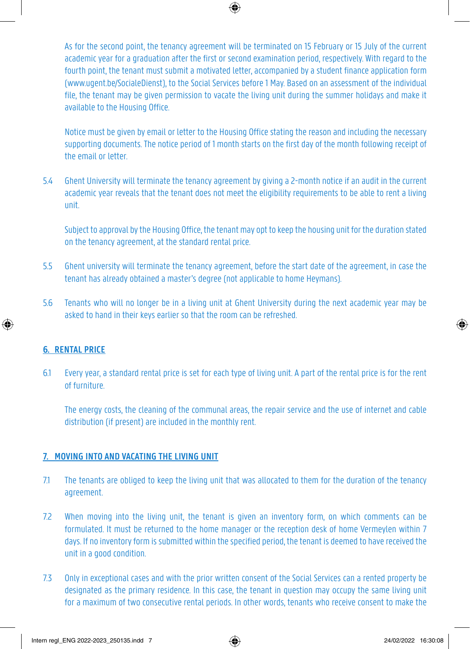As for the second point, the tenancy agreement will be terminated on 15 February or 15 July of the current academic year for a graduation after the first or second examination period, respectively. With regard to the fourth point, the tenant must submit a motivated letter, accompanied by a student finance application form (www.ugent.be/SocialeDienst), to the Social Services before 1 May. Based on an assessment of the individual file, the tenant may be given permission to vacate the living unit during the summer holidays and make it available to the Housing Office.

Notice must be given by email or letter to the Housing Office stating the reason and including the necessary supporting documents. The notice period of 1 month starts on the first day of the month following receipt of the email or letter.

5.4 Ghent University will terminate the tenancy agreement by giving a 2-month notice if an audit in the current academic year reveals that the tenant does not meet the eligibility requirements to be able to rent a living unit.

Subject to approval by the Housing Office, the tenant may opt to keep the housing unit for the duration stated on the tenancy agreement, at the standard rental price.

- 5.5 Ghent university will terminate the tenancy agreement, before the start date of the agreement, in case the tenant has already obtained a master's degree (not applicable to home Heymans).
- 5.6 Tenants who will no longer be in a living unit at Ghent University during the next academic year may be asked to hand in their keys earlier so that the room can be refreshed.

# **6. RENTAL PRICE**

6.1 Every year, a standard rental price is set for each type of living unit. A part of the rental price is for the rent of furniture.

The energy costs, the cleaning of the communal areas, the repair service and the use of internet and cable distribution (if present) are included in the monthly rent.

#### **7. MOVING INTO AND VACATING THE LIVING UNIT**

- 7.1 The tenants are obliged to keep the living unit that was allocated to them for the duration of the tenancy agreement.
- 7.2 When moving into the living unit, the tenant is given an inventory form, on which comments can be formulated. It must be returned to the home manager or the reception desk of home Vermeylen within 7 days. If no inventory form is submitted within the specified period, the tenant is deemed to have received the unit in a good condition.
- 7.3 Only in exceptional cases and with the prior written consent of the Social Services can a rented property be designated as the primary residence. In this case, the tenant in question may occupy the same living unit for a maximum of two consecutive rental periods. In other words, tenants who receive consent to make the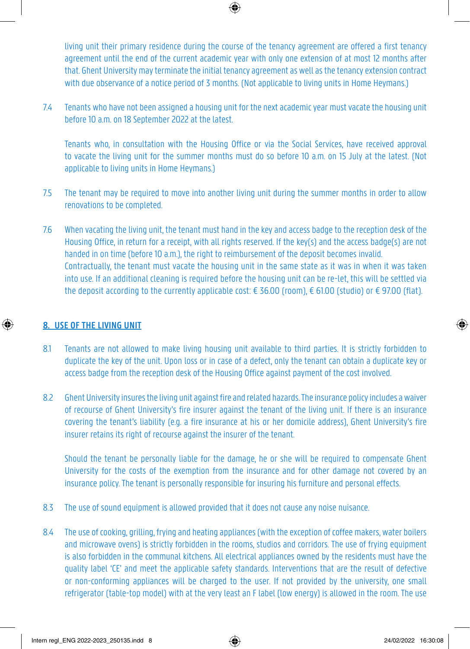living unit their primary residence during the course of the tenancy agreement are offered a first tenancy agreement until the end of the current academic year with only one extension of at most 12 months after that. Ghent University may terminate the initial tenancy agreement as well as the tenancy extension contract with due observance of a notice period of 3 months. (Not applicable to living units in Home Heymans.)

7.4 Tenants who have not been assigned a housing unit for the next academic year must vacate the housing unit before 10 a.m. on 18 September 2022 at the latest.

Tenants who, in consultation with the Housing Office or via the Social Services, have received approval to vacate the living unit for the summer months must do so before 10 a.m. on 15 July at the latest. (Not applicable to living units in Home Heymans.)

- 7.5 The tenant may be required to move into another living unit during the summer months in order to allow renovations to be completed.
- 7.6 When vacating the living unit, the tenant must hand in the key and access badge to the reception desk of the Housing Office, in return for a receipt, with all rights reserved. If the key(s) and the access badge(s) are not handed in on time (before 10 a.m.), the right to reimbursement of the deposit becomes invalid. Contractually, the tenant must vacate the housing unit in the same state as it was in when it was taken into use. If an additional cleaning is required before the housing unit can be re-let, this will be settled via the deposit according to the currently applicable cost: € 36.00 (room), € 61.00 (studio) or € 97.00 (flat).

# **8. USE OF THE LIVING UNIT**

- 8.1 Tenants are not allowed to make living housing unit available to third parties. It is strictly forbidden to duplicate the key of the unit. Upon loss or in case of a defect, only the tenant can obtain a duplicate key or access badge from the reception desk of the Housing Office against payment of the cost involved.
- 8.2 Ghent University insures the living unit against fire and related hazards. The insurance policy includes a waiver of recourse of Ghent University's fire insurer against the tenant of the living unit. If there is an insurance covering the tenant's liability (e.g. a fire insurance at his or her domicile address), Ghent University's fire insurer retains its right of recourse against the insurer of the tenant.

Should the tenant be personally liable for the damage, he or she will be required to compensate Ghent University for the costs of the exemption from the insurance and for other damage not covered by an insurance policy. The tenant is personally responsible for insuring his furniture and personal effects.

- 8.3 The use of sound equipment is allowed provided that it does not cause any noise nuisance.
- 8.4 The use of cooking, grilling, frying and heating appliances (with the exception of coffee makers, water boilers and microwave ovens) is strictly forbidden in the rooms, studios and corridors. The use of frying equipment is also forbidden in the communal kitchens. All electrical appliances owned by the residents must have the quality label 'CE' and meet the applicable safety standards. Interventions that are the result of defective or non-conforming appliances will be charged to the user. If not provided by the university, one small refrigerator (table-top model) with at the very least an F label (low energy) is allowed in the room. The use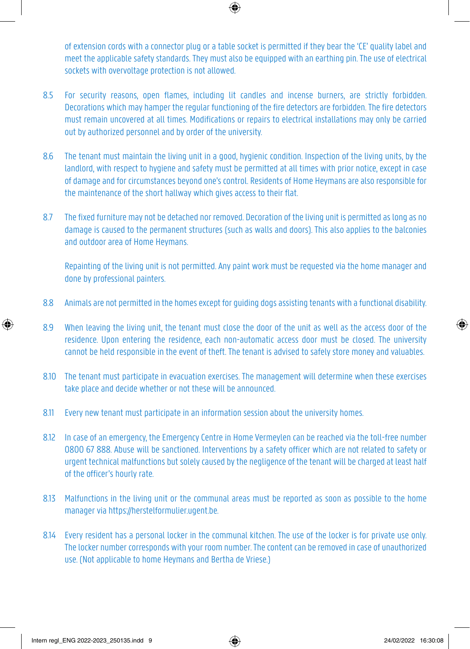of extension cords with a connector plug or a table socket is permitted if they bear the 'CE' quality label and meet the applicable safety standards. They must also be equipped with an earthing pin. The use of electrical sockets with overvoltage protection is not allowed.

- 8.5 For security reasons, open flames, including lit candles and incense burners, are strictly forbidden. Decorations which may hamper the regular functioning of the fire detectors are forbidden. The fire detectors must remain uncovered at all times. Modifications or repairs to electrical installations may only be carried out by authorized personnel and by order of the university.
- 8.6 The tenant must maintain the living unit in a good, hygienic condition. Inspection of the living units, by the landlord, with respect to hygiene and safety must be permitted at all times with prior notice, except in case of damage and for circumstances beyond one's control. Residents of Home Heymans are also responsible for the maintenance of the short hallway which gives access to their flat.
- 8.7 The fixed furniture may not be detached nor removed. Decoration of the living unit is permitted as long as no damage is caused to the permanent structures (such as walls and doors). This also applies to the balconies and outdoor area of Home Heymans.

Repainting of the living unit is not permitted. Any paint work must be requested via the home manager and done by professional painters.

- 8.8 Animals are not permitted in the homes except for guiding dogs assisting tenants with a functional disability.
- 8.9 When leaving the living unit, the tenant must close the door of the unit as well as the access door of the residence. Upon entering the residence, each non-automatic access door must be closed. The university cannot be held responsible in the event of theft. The tenant is advised to safely store money and valuables.
- 8.10 The tenant must participate in evacuation exercises. The management will determine when these exercises take place and decide whether or not these will be announced.
- 8.11 Every new tenant must participate in an information session about the university homes.
- 8.12 In case of an emergency, the Emergency Centre in Home Vermeylen can be reached via the toll-free number 0800 67 888. Abuse will be sanctioned. Interventions by a safety officer which are not related to safety or urgent technical malfunctions but solely caused by the negligence of the tenant will be charged at least half of the officer's hourly rate.
- 8.13 Malfunctions in the living unit or the communal areas must be reported as soon as possible to the home manager via https://herstelformulier.ugent.be.
- 8.14 Every resident has a personal locker in the communal kitchen. The use of the locker is for private use only. The locker number corresponds with your room number. The content can be removed in case of unauthorized use. (Not applicable to home Heymans and Bertha de Vriese.)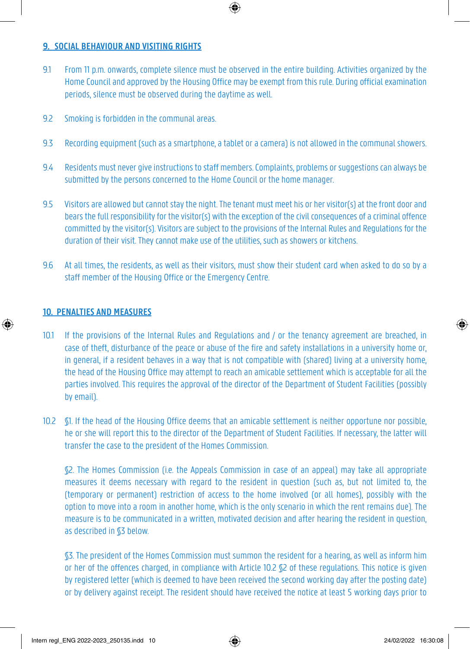#### **9. SOCIAL BEHAVIOUR AND VISITING RIGHTS**

- 9.1 From 11 p.m. onwards, complete silence must be observed in the entire building. Activities organized by the Home Council and approved by the Housing Office may be exempt from this rule. During official examination periods, silence must be observed during the daytime as well.
- 9.2 Smoking is forbidden in the communal areas.
- 9.3 Recording equipment (such as a smartphone, a tablet or a camera) is not allowed in the communal showers.
- 9.4 Residents must never give instructions to staff members. Complaints, problems or suggestions can always be submitted by the persons concerned to the Home Council or the home manager.
- 9.5 Visitors are allowed but cannot stay the night. The tenant must meet his or her visitor(s) at the front door and bears the full responsibility for the visitor(s) with the exception of the civil consequences of a criminal offence committed by the visitor(s). Visitors are subject to the provisions of the Internal Rules and Regulations for the duration of their visit. They cannot make use of the utilities, such as showers or kitchens.
- 9.6 At all times, the residents, as well as their visitors, must show their student card when asked to do so by a staff member of the Housing Office or the Emergency Centre.

#### **10. PENALTIES AND MEASURES**

- 10.1 If the provisions of the Internal Rules and Regulations and / or the tenancy agreement are breached, in case of theft, disturbance of the peace or abuse of the fire and safety installations in a university home or, in general, if a resident behaves in a way that is not compatible with (shared) living at a university home, the head of the Housing Office may attempt to reach an amicable settlement which is acceptable for all the parties involved. This requires the approval of the director of the Department of Student Facilities (possibly by email).
- 10.2 §1. If the head of the Housing Office deems that an amicable settlement is neither opportune nor possible, he or she will report this to the director of the Department of Student Facilities. If necessary, the latter will transfer the case to the president of the Homes Commission.

§2. The Homes Commission (i.e. the Appeals Commission in case of an appeal) may take all appropriate measures it deems necessary with regard to the resident in question (such as, but not limited to, the (temporary or permanent) restriction of access to the home involved (or all homes), possibly with the option to move into a room in another home, which is the only scenario in which the rent remains due). The measure is to be communicated in a written, motivated decision and after hearing the resident in question, as described in §3 below.

§3. The president of the Homes Commission must summon the resident for a hearing, as well as inform him or her of the offences charged, in compliance with Article 10.2 §2 of these regulations. This notice is given by registered letter (which is deemed to have been received the second working day after the posting date) or by delivery against receipt. The resident should have received the notice at least 5 working days prior to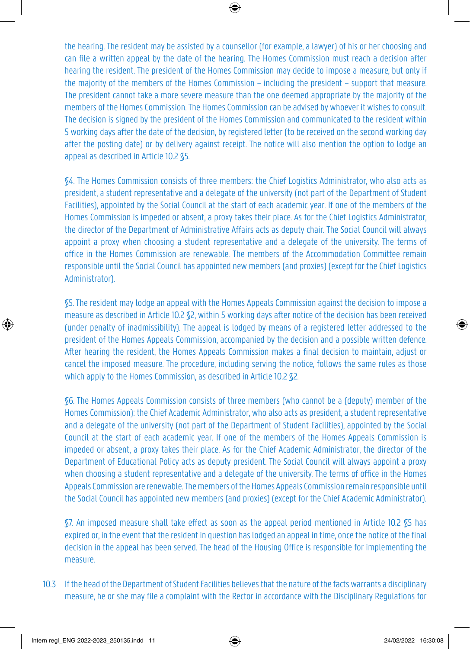the hearing. The resident may be assisted by a counsellor (for example, a lawyer) of his or her choosing and can file a written appeal by the date of the hearing. The Homes Commission must reach a decision after hearing the resident. The president of the Homes Commission may decide to impose a measure, but only if the majority of the members of the Homes Commission – including the president – support that measure. The president cannot take a more severe measure than the one deemed appropriate by the majority of the members of the Homes Commission. The Homes Commission can be advised by whoever it wishes to consult. The decision is signed by the president of the Homes Commission and communicated to the resident within 5 working days after the date of the decision, by registered letter (to be received on the second working day after the posting date) or by delivery against receipt. The notice will also mention the option to lodge an appeal as described in Article 10.2 §5.

§4. The Homes Commission consists of three members: the Chief Logistics Administrator, who also acts as president, a student representative and a delegate of the university (not part of the Department of Student Facilities), appointed by the Social Council at the start of each academic year. If one of the members of the Homes Commission is impeded or absent, a proxy takes their place. As for the Chief Logistics Administrator, the director of the Department of Administrative Affairs acts as deputy chair. The Social Council will always appoint a proxy when choosing a student representative and a delegate of the university. The terms of office in the Homes Commission are renewable. The members of the Accommodation Committee remain responsible until the Social Council has appointed new members (and proxies) (except for the Chief Logistics Administrator).

§5. The resident may lodge an appeal with the Homes Appeals Commission against the decision to impose a measure as described in Article 10.2 §2, within 5 working days after notice of the decision has been received (under penalty of inadmissibility). The appeal is lodged by means of a registered letter addressed to the president of the Homes Appeals Commission, accompanied by the decision and a possible written defence. After hearing the resident, the Homes Appeals Commission makes a final decision to maintain, adjust or cancel the imposed measure. The procedure, including serving the notice, follows the same rules as those which apply to the Homes Commission, as described in Article 10.2  $\S$ 2.

§6. The Homes Appeals Commission consists of three members (who cannot be a (deputy) member of the Homes Commission): the Chief Academic Administrator, who also acts as president, a student representative and a delegate of the university (not part of the Department of Student Facilities), appointed by the Social Council at the start of each academic year. If one of the members of the Homes Appeals Commission is impeded or absent, a proxy takes their place. As for the Chief Academic Administrator, the director of the Department of Educational Policy acts as deputy president. The Social Council will always appoint a proxy when choosing a student representative and a delegate of the university. The terms of office in the Homes Appeals Commission are renewable. The members of the Homes Appeals Commission remain responsible until the Social Council has appointed new members (and proxies) (except for the Chief Academic Administrator).

§7. An imposed measure shall take effect as soon as the appeal period mentioned in Article 10.2 §5 has expired or, in the event that the resident in question has lodged an appeal in time, once the notice of the final decision in the appeal has been served. The head of the Housing Office is responsible for implementing the measure.

10.3 If the head of the Department of Student Facilities believes that the nature of the facts warrants a disciplinary measure, he or she may file a complaint with the Rector in accordance with the Disciplinary Regulations for